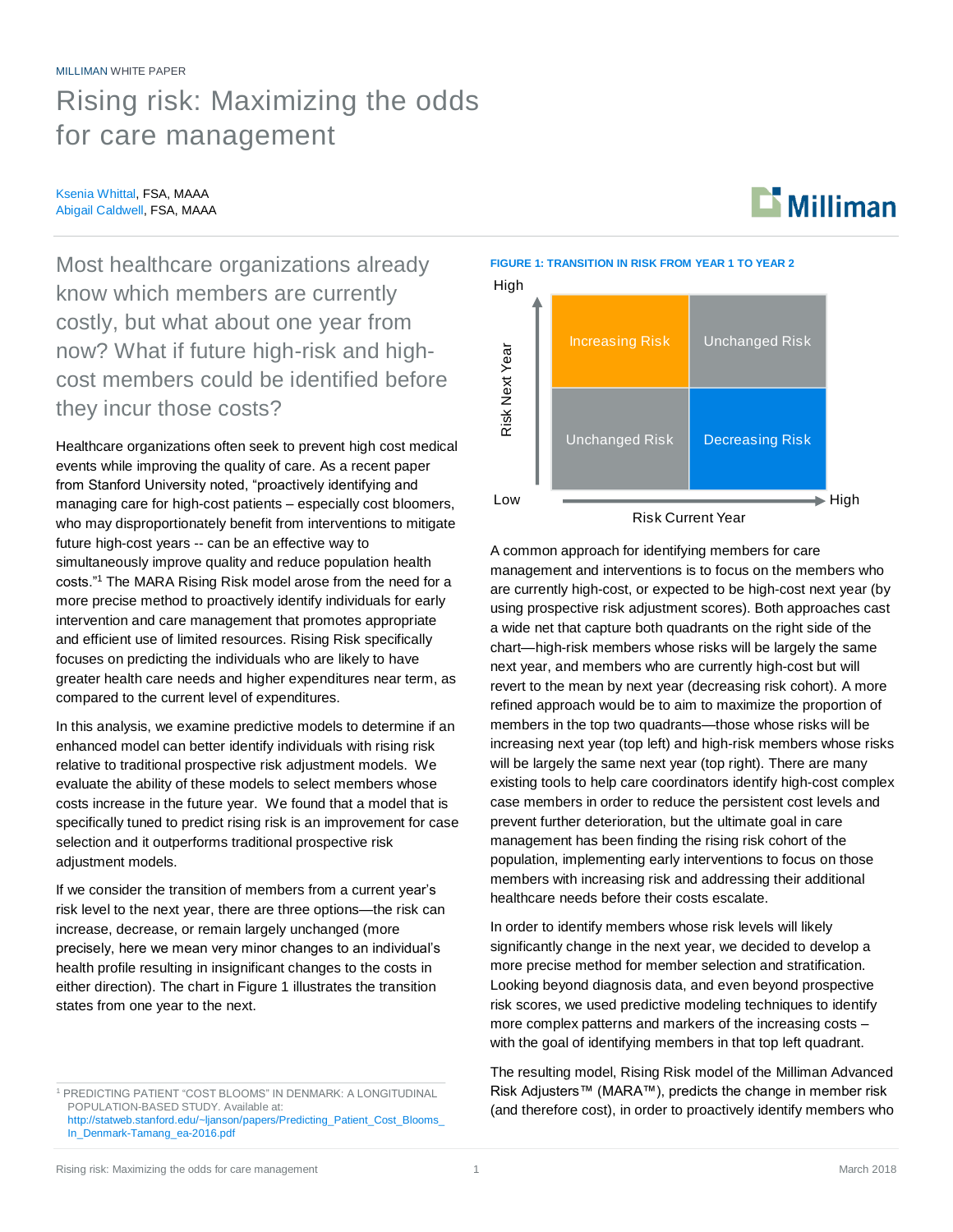# MILLIMAN WHITE PAPER Rising risk: Maximizing the odds for care management

#### Ksenia Whittal, FSA, MAAA Abigail Caldwell, FSA, MAAA

Most healthcare organizations already know which members are currently costly, but what about one year from now? What if future high-risk and highcost members could be identified before they incur those costs?

Healthcare organizations often seek to prevent high cost medical events while improving the quality of care. As a recent paper from Stanford University noted, "proactively identifying and managing care for high-cost patients – especially cost bloomers, who may disproportionately benefit from interventions to mitigate future high-cost years -- can be an effective way to simultaneously improve quality and reduce population health costs."<sup>1</sup> The MARA Rising Risk model arose from the need for a more precise method to proactively identify individuals for early intervention and care management that promotes appropriate and efficient use of limited resources. Rising Risk specifically focuses on predicting the individuals who are likely to have greater health care needs and higher expenditures near term, as compared to the current level of expenditures.

In this analysis, we examine predictive models to determine if an enhanced model can better identify individuals with rising risk relative to traditional prospective risk adjustment models. We evaluate the ability of these models to select members whose costs increase in the future year. We found that a model that is specifically tuned to predict rising risk is an improvement for case selection and it outperforms traditional prospective risk adjustment models.

If we consider the transition of members from a current year's risk level to the next year, there are three options—the risk can increase, decrease, or remain largely unchanged (more precisely, here we mean very minor changes to an individual's health profile resulting in insignificant changes to the costs in either direction). The chart in Figure 1 illustrates the transition states from one year to the next.

**FIGURE 1: TRANSITION IN RISK FROM YEAR 1 TO YEAR 2**



 $\mathbf{L}$  Milliman

A common approach for identifying members for care management and interventions is to focus on the members who are currently high-cost, or expected to be high-cost next year (by using prospective risk adjustment scores). Both approaches cast a wide net that capture both quadrants on the right side of the chart—high-risk members whose risks will be largely the same next year, and members who are currently high-cost but will revert to the mean by next year (decreasing risk cohort). A more refined approach would be to aim to maximize the proportion of members in the top two quadrants—those whose risks will be increasing next year (top left) and high-risk members whose risks will be largely the same next year (top right). There are many existing tools to help care coordinators identify high-cost complex case members in order to reduce the persistent cost levels and prevent further deterioration, but the ultimate goal in care management has been finding the rising risk cohort of the population, implementing early interventions to focus on those members with increasing risk and addressing their additional healthcare needs before their costs escalate.

In order to identify members whose risk levels will likely significantly change in the next year, we decided to develop a more precise method for member selection and stratification. Looking beyond diagnosis data, and even beyond prospective risk scores, we used predictive modeling techniques to identify more complex patterns and markers of the increasing costs – with the goal of identifying members in that top left quadrant.

The resulting model, Rising Risk model of the Milliman Advanced Risk Adjusters™ (MARA™), predicts the change in member risk (and therefore cost), in order to proactively identify members who

<sup>1</sup> PREDICTING PATIENT "COST BLOOMS" IN DENMARK: A LONGITUDINAL POPULATION-BASED STUDY. Available at: [http://statweb.stanford.edu/~ljanson/papers/Predicting\\_Patient\\_Cost\\_Blooms\\_](http://statweb.stanford.edu/~ljanson/papers/Predicting_Patient_Cost_Blooms_In_Denmark-Tamang_ea-2016.pdf) [In\\_Denmark-Tamang\\_ea-2016.pdf](http://statweb.stanford.edu/~ljanson/papers/Predicting_Patient_Cost_Blooms_In_Denmark-Tamang_ea-2016.pdf)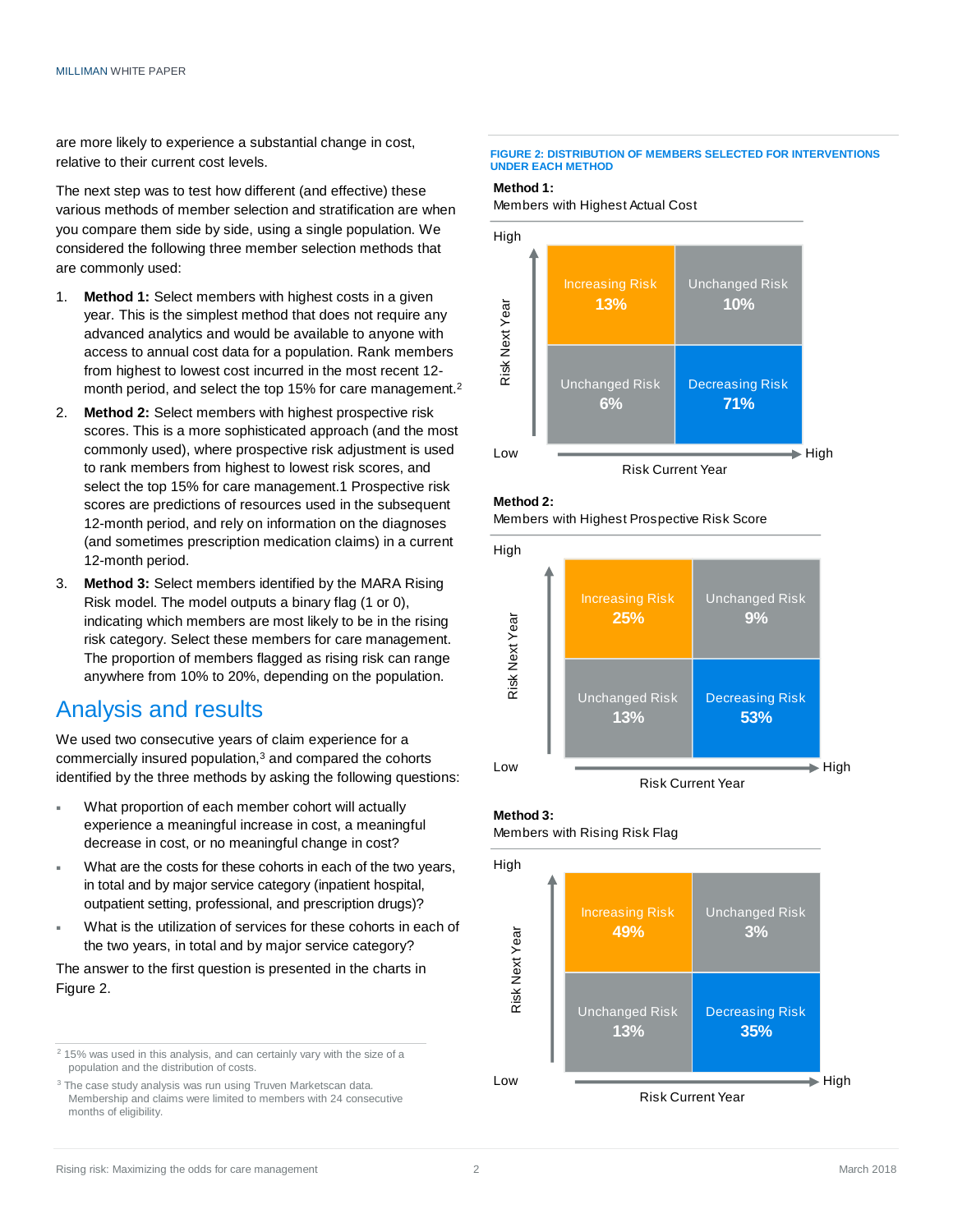are more likely to experience a substantial change in cost, relative to their current cost levels.

The next step was to test how different (and effective) these various methods of member selection and stratification are when you compare them side by side, using a single population. We considered the following three member selection methods that are commonly used:

- 1. **Method 1:** Select members with highest costs in a given year. This is the simplest method that does not require any advanced analytics and would be available to anyone with access to annual cost data for a population. Rank members from highest to lowest cost incurred in the most recent 12 month period, and select the top 15% for care management.<sup>2</sup>
- 2. **Method 2:** Select members with highest prospective risk scores. This is a more sophisticated approach (and the most commonly used), where prospective risk adjustment is used to rank members from highest to lowest risk scores, and select the top 15% for care management.1 Prospective risk scores are predictions of resources used in the subsequent 12-month period, and rely on information on the diagnoses (and sometimes prescription medication claims) in a current 12-month period.
- 3. **Method 3:** Select members identified by the MARA Rising Risk model. The model outputs a binary flag (1 or 0), indicating which members are most likely to be in the rising risk category. Select these members for care management. The proportion of members flagged as rising risk can range anywhere from 10% to 20%, depending on the population.

## Analysis and results

We used two consecutive years of claim experience for a commercially insured population,<sup>3</sup> and compared the cohorts identified by the three methods by asking the following questions:

- What proportion of each member cohort will actually experience a meaningful increase in cost, a meaningful decrease in cost, or no meaningful change in cost?
- What are the costs for these cohorts in each of the two years, in total and by major service category (inpatient hospital, outpatient setting, professional, and prescription drugs)?
- What is the utilization of services for these cohorts in each of the two years, in total and by major service category?

The answer to the first question is presented in the charts in Figure 2.

<sup>2</sup> 15% was used in this analysis, and can certainly vary with the size of a population and the distribution of costs.

<sup>3</sup> The case study analysis was run using Truven Marketscan data. Membership and claims were limited to members with 24 consecutive months of eligibility.

#### **FIGURE 2: DISTRIBUTION OF MEMBERS SELECTED FOR INTERVENTIONS UNDER EACH METHOD**

#### **Method 1:**

Members with Highest Actual Cost









Risk Current Year

## **Method 3:**

Members with Rising Risk Flag

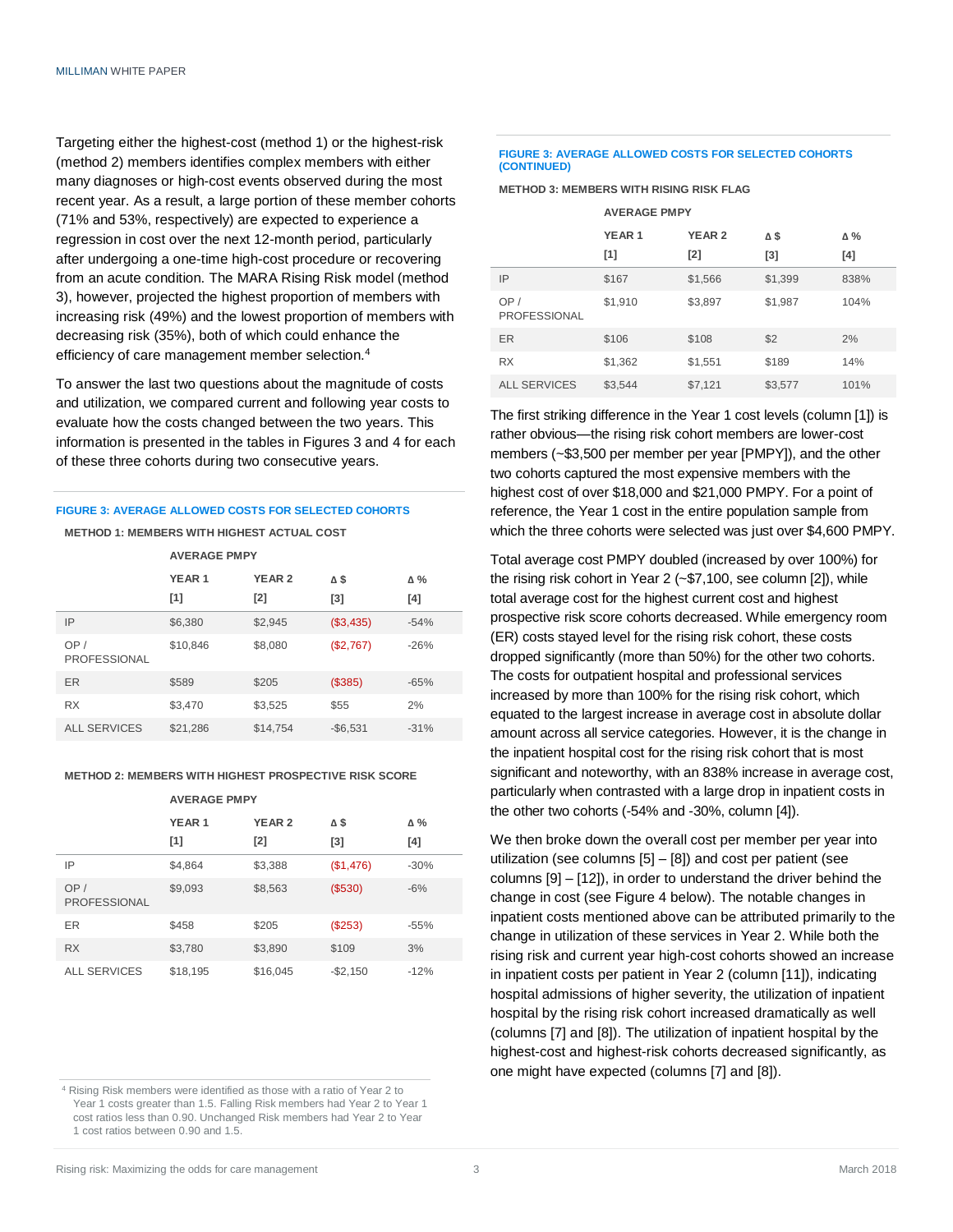Targeting either the highest-cost (method 1) or the highest-risk (method 2) members identifies complex members with either many diagnoses or high-cost events observed during the most recent year. As a result, a large portion of these member cohorts (71% and 53%, respectively) are expected to experience a regression in cost over the next 12-month period, particularly after undergoing a one-time high-cost procedure or recovering from an acute condition. The MARA Rising Risk model (method 3), however, projected the highest proportion of members with increasing risk (49%) and the lowest proportion of members with decreasing risk (35%), both of which could enhance the efficiency of care management member selection.<sup>4</sup>

To answer the last two questions about the magnitude of costs and utilization, we compared current and following year costs to evaluate how the costs changed between the two years. This information is presented in the tables in Figures 3 and 4 for each of these three cohorts during two consecutive years.

## **FIGURE 3: AVERAGE ALLOWED COSTS FOR SELECTED COHORTS**

#### **METHOD 1: MEMBERS WITH HIGHEST ACTUAL COST**

|                            | <b>AVERAGE PMPY</b>      |                      |            |                    |
|----------------------------|--------------------------|----------------------|------------|--------------------|
|                            | YEAR <sub>1</sub><br>[1] | <b>YEAR 2</b><br>[2] | Δ\$<br>[3] | $\Delta \%$<br>[4] |
| IP                         | \$6,380                  | \$2,945              | (\$3,435)  | $-54%$             |
| OP/<br><b>PROFESSIONAL</b> | \$10.846                 | \$8,080              | (\$2,767)  | $-26%$             |
| ER                         | \$589                    | \$205                | (\$385)    | $-65%$             |
| <b>RX</b>                  | \$3,470                  | \$3,525              | \$55       | 2%                 |
| <b>ALL SERVICES</b>        | \$21,286                 | \$14,754             | $-$6,531$  | $-31%$             |

#### **METHOD 2: MEMBERS WITH HIGHEST PROSPECTIVE RISK SCORE**

### **AVERAGE PMPY**

|                            | YEAR <sub>1</sub> | <b>YEAR 2</b> | Δ\$       | Δ%     |
|----------------------------|-------------------|---------------|-----------|--------|
|                            | [1]               | [2]           | [3]       | [4]    |
| IP                         | \$4,864           | \$3,388       | (\$1,476) | $-30%$ |
| OP/<br><b>PROFESSIONAL</b> | \$9,093           | \$8,563       | (S530)    | $-6%$  |
| ER                         | \$458             | \$205         | (\$253)   | $-55%$ |
| <b>RX</b>                  | \$3,780           | \$3,890       | \$109     | 3%     |
| <b>ALL SERVICES</b>        | \$18,195          | \$16,045      | $-$2,150$ | $-12%$ |

<sup>4</sup> Rising Risk members were identified as those with a ratio of Year 2 to Year 1 costs greater than 1.5. Falling Risk members had Year 2 to Year 1 cost ratios less than 0.90. Unchanged Risk members had Year 2 to Year 1 cost ratios between 0.90 and 1.5.

#### **FIGURE 3: AVERAGE ALLOWED COSTS FOR SELECTED COHORTS (CONTINUED)**

#### **METHOD 3: MEMBERS WITH RISING RISK FLAG**

|                            | <b>AVERAGE PMPY</b> |               |         |      |  |
|----------------------------|---------------------|---------------|---------|------|--|
|                            | YEAR <sub>1</sub>   | <b>YEAR 2</b> | Δ\$     | Δ%   |  |
|                            | [1]                 | $[2]$         | [3]     | [4]  |  |
| IP                         | \$167               | \$1,566       | \$1,399 | 838% |  |
| OP/<br><b>PROFESSIONAL</b> | \$1,910             | \$3,897       | \$1,987 | 104% |  |
| <b>ER</b>                  | \$106               | \$108         | \$2     | 2%   |  |
| <b>RX</b>                  | \$1,362             | \$1,551       | \$189   | 14%  |  |
| <b>ALL SERVICES</b>        | \$3,544             | \$7,121       | \$3,577 | 101% |  |

The first striking difference in the Year 1 cost levels (column [1]) is rather obvious—the rising risk cohort members are lower-cost members (~\$3,500 per member per year [PMPY]), and the other two cohorts captured the most expensive members with the highest cost of over \$18,000 and \$21,000 PMPY. For a point of reference, the Year 1 cost in the entire population sample from which the three cohorts were selected was just over \$4,600 PMPY.

Total average cost PMPY doubled (increased by over 100%) for the rising risk cohort in Year 2 (~\$7,100, see column [2]), while total average cost for the highest current cost and highest prospective risk score cohorts decreased. While emergency room (ER) costs stayed level for the rising risk cohort, these costs dropped significantly (more than 50%) for the other two cohorts. The costs for outpatient hospital and professional services increased by more than 100% for the rising risk cohort, which equated to the largest increase in average cost in absolute dollar amount across all service categories. However, it is the change in the inpatient hospital cost for the rising risk cohort that is most significant and noteworthy, with an 838% increase in average cost, particularly when contrasted with a large drop in inpatient costs in the other two cohorts (-54% and -30%, column [4]).

We then broke down the overall cost per member per year into utilization (see columns [5] – [8]) and cost per patient (see columns [9] – [12]), in order to understand the driver behind the change in cost (see Figure 4 below). The notable changes in inpatient costs mentioned above can be attributed primarily to the change in utilization of these services in Year 2. While both the rising risk and current year high-cost cohorts showed an increase in inpatient costs per patient in Year 2 (column [11]), indicating hospital admissions of higher severity, the utilization of inpatient hospital by the rising risk cohort increased dramatically as well (columns [7] and [8]). The utilization of inpatient hospital by the highest-cost and highest-risk cohorts decreased significantly, as one might have expected (columns [7] and [8]).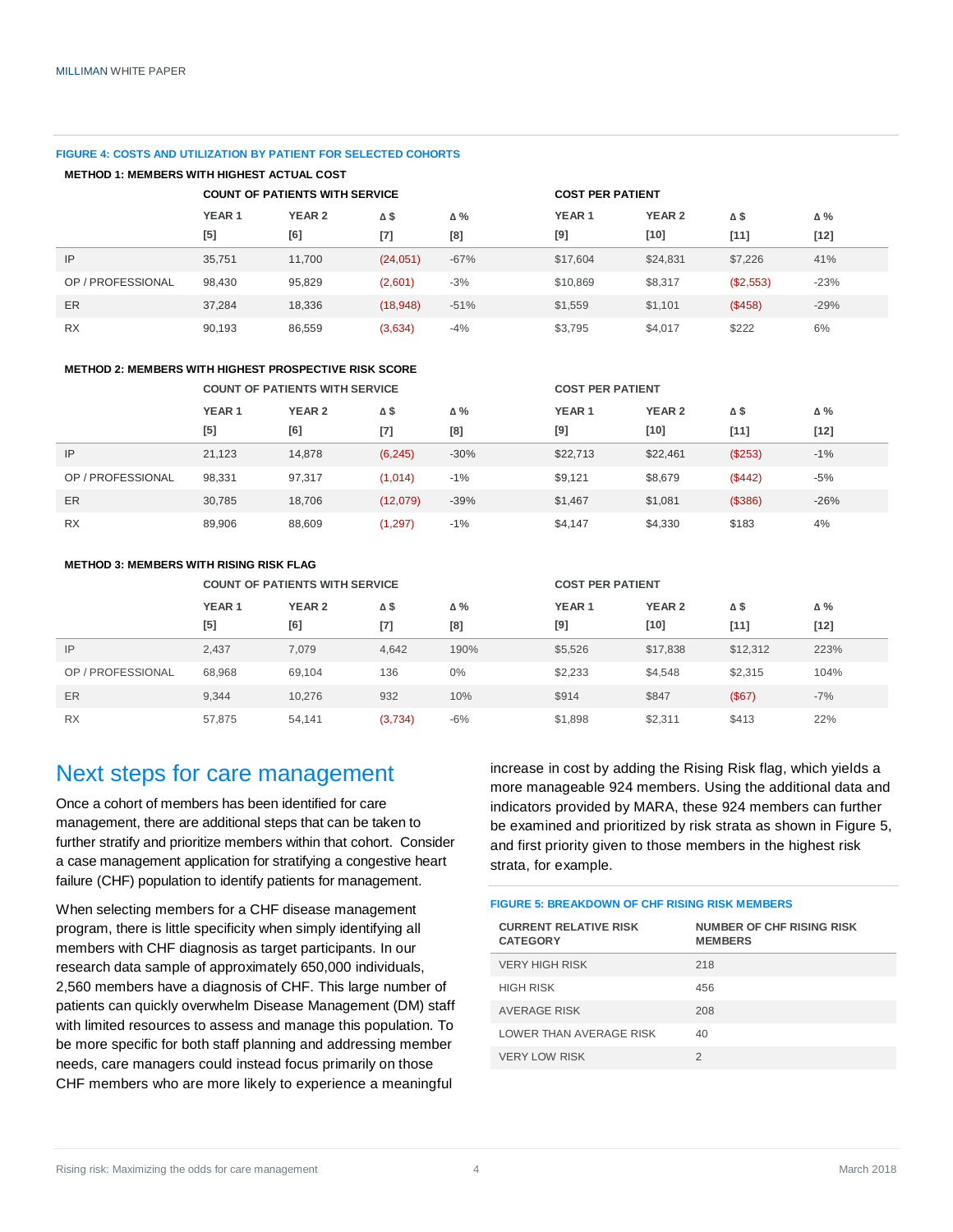#### **FIGURE 4: COSTS AND UTILIZATION BY PATIENT FOR SELECTED COHORTS**

| <b>METHOD 1: MEMBERS WITH HIGHEST ACTUAL COST</b>                |                   |                   |          |            |                   |               |           |        |
|------------------------------------------------------------------|-------------------|-------------------|----------|------------|-------------------|---------------|-----------|--------|
| <b>COUNT OF PATIENTS WITH SERVICE</b><br><b>COST PER PATIENT</b> |                   |                   |          |            |                   |               |           |        |
|                                                                  | YEAR <sub>1</sub> | YEAR <sub>2</sub> | Δ\$      | $\Delta\%$ | YEAR <sub>1</sub> | <b>YEAR 2</b> | Δ\$       | Δ%     |
|                                                                  | [5]               | [6]               | $[7]$    | [8]        | [9]               | $[10]$        | $[11]$    | $[12]$ |
| IP                                                               | 35,751            | 11,700            | (24,051) | $-67%$     | \$17,604          | \$24,831      | \$7,226   | 41%    |
| OP / PROFESSIONAL                                                | 98,430            | 95,829            | (2,601)  | $-3%$      | \$10,869          | \$8,317       | (\$2,553) | $-23%$ |
| ER                                                               | 37.284            | 18,336            | (18,948) | $-51%$     | \$1,559           | \$1.101       | (\$458)   | $-29%$ |
| <b>RX</b>                                                        | 90,193            | 86.559            | (3,634)  | $-4%$      | \$3,795           | \$4,017       | \$222     | 6%     |

#### **METHOD 2: MEMBERS WITH HIGHEST PROSPECTIVE RISK SCORE**

|                   | <b>COUNT OF PATIENTS WITH SERVICE</b> |               |             |        | <b>COST PER PATIENT</b> |               |         |        |
|-------------------|---------------------------------------|---------------|-------------|--------|-------------------------|---------------|---------|--------|
|                   | YEAR <sub>1</sub>                     | <b>YEAR 2</b> | $\Delta$ \$ | Δ%     | YEAR <sub>1</sub>       | <b>YEAR 2</b> | Δ\$     | Δ%     |
|                   | [5]                                   | [6]           | $[7]$       | [8]    | [9]                     | $[10]$        | $[11]$  | $[12]$ |
| IP                | 21.123                                | 14,878        | (6, 245)    | $-30%$ | \$22,713                | \$22,461      | (\$253) | $-1%$  |
| OP / PROFESSIONAL | 98.331                                | 97,317        | (1,014)     | $-1\%$ | \$9.121                 | \$8,679       | (\$442) | -5%    |
| ER                | 30.785                                | 18.706        | (12,079)    | $-39%$ | \$1,467                 | \$1,081       | (\$386) | $-26%$ |
| <b>RX</b>         | 89,906                                | 88,609        | (1, 297)    | $-1%$  | \$4.147                 | \$4,330       | \$183   | 4%     |

#### **METHOD 3: MEMBERS WITH RISING RISK FLAG**

|                   | <b>COUNT OF PATIENTS WITH SERVICE</b> |                   |             |            | <b>COST PER PATIENT</b> |                   |          |            |
|-------------------|---------------------------------------|-------------------|-------------|------------|-------------------------|-------------------|----------|------------|
|                   | YEAR <sub>1</sub>                     | YEAR <sub>2</sub> | $\Delta$ \$ | $\Delta\%$ | YEAR <sub>1</sub>       | YEAR <sub>2</sub> | ΔŜ       | $\Delta\%$ |
|                   | [5]                                   | [6]               | $[7]$       | [8]        | [9]                     | $[10]$            | $[11]$   | $[12]$     |
| IP                | 2,437                                 | 7.079             | 4,642       | 190%       | \$5,526                 | \$17,838          | \$12,312 | 223%       |
| OP / PROFESSIONAL | 68.968                                | 69.104            | 136         | $0\%$      | \$2,233                 | \$4,548           | \$2,315  | 104%       |
| ER                | 9.344                                 | 10.276            | 932         | 10%        | \$914                   | \$847             | (\$67)   | $-7%$      |
| <b>RX</b>         | 57.875                                | 54.141            | (3,734)     | $-6%$      | \$1,898                 | \$2,311           | \$413    | 22%        |

## Next steps for care management

Once a cohort of members has been identified for care management, there are additional steps that can be taken to further stratify and prioritize members within that cohort. Consider a case management application for stratifying a congestive heart failure (CHF) population to identify patients for management.

When selecting members for a CHF disease management program, there is little specificity when simply identifying all members with CHF diagnosis as target participants. In our research data sample of approximately 650,000 individuals, 2,560 members have a diagnosis of CHF. This large number of patients can quickly overwhelm Disease Management (DM) staff with limited resources to assess and manage this population. To be more specific for both staff planning and addressing member needs, care managers could instead focus primarily on those CHF members who are more likely to experience a meaningful

increase in cost by adding the Rising Risk flag, which yields a more manageable 924 members. Using the additional data and indicators provided by MARA, these 924 members can further be examined and prioritized by risk strata as shown in Figure 5, and first priority given to those members in the highest risk strata, for example.

#### **FIGURE 5: BREAKDOWN OF CHF RISING RISK MEMBERS**

| <b>CURRENT RELATIVE RISK</b><br><b>CATEGORY</b> | <b>NUMBER OF CHF RISING RISK</b><br><b>MEMBERS</b> |
|-------------------------------------------------|----------------------------------------------------|
| <b>VERY HIGH RISK</b>                           | 218                                                |
| <b>HIGH RISK</b>                                | 456                                                |
| <b>AVERAGE RISK</b>                             | 208                                                |
| LOWER THAN AVERAGE RISK                         | 40                                                 |
| <b>VERY LOW RISK</b>                            | 2                                                  |